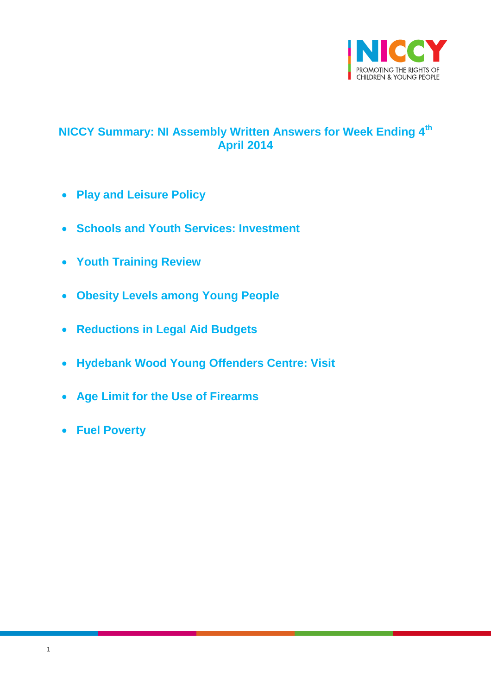

# <span id="page-0-0"></span>**NICCY Summary: NI Assembly Written Answers for Week Ending 4th April 2014**

- **[Play and Leisure Policy](#page-1-0)**
- **Schools and Youth [Services: Investment](#page-1-1)**
- **[Youth Training Review](#page-2-0)**
- **[Obesity Levels among Young People](#page-3-0)**
- **[Reductions in Legal Aid Budgets](#page-4-0)**
- **[Hydebank Wood Young Offenders Centre: Visit](#page-5-0)**
- **[Age Limit for the Use of Firearms](#page-5-1)**
- **[Fuel Poverty](#page-6-0)**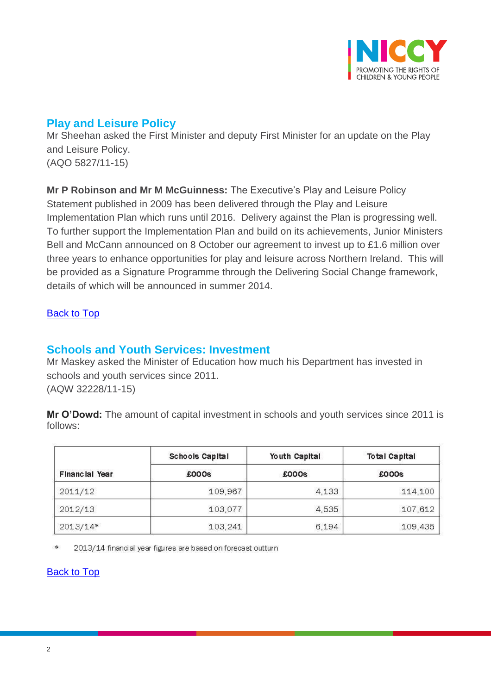

# <span id="page-1-0"></span>**Play and Leisure Policy**

Mr Sheehan asked the First Minister and deputy First Minister for an update on the Play and Leisure Policy. (AQO 5827/11-15)

**Mr P Robinson and Mr M McGuinness:** The Executive's Play and Leisure Policy Statement published in 2009 has been delivered through the Play and Leisure Implementation Plan which runs until 2016. Delivery against the Plan is progressing well. To further support the Implementation Plan and build on its achievements, Junior Ministers Bell and McCann announced on 8 October our agreement to invest up to £1.6 million over three years to enhance opportunities for play and leisure across Northern Ireland. This will be provided as a Signature Programme through the Delivering Social Change framework, details of which will be announced in summer 2014.

### [Back to Top](#page-0-0)

### <span id="page-1-1"></span>**Schools and Youth Services: Investment**

Mr Maskey asked the Minister of Education how much his Department has invested in schools and youth services since 2011. (AQW 32228/11-15)

**Mr O'Dowd:** The amount of capital investment in schools and youth services since 2011 is follows:

|                       | <b>Schools Capital</b> | Youth Capital | <b>Total Capital</b><br>£000s |  |
|-----------------------|------------------------|---------------|-------------------------------|--|
| <b>Financial Year</b> | £000s                  | £000s         |                               |  |
| 2011/12               | 109,967                | 4,133         | 114,100                       |  |
| 2012/13               | 103,077                | 4,535         | 107,612                       |  |
| $2013/14*$            | 103,241                | 6,194         | 109,435                       |  |

 $\ast$ 2013/14 financial year figures are based on forecast outturn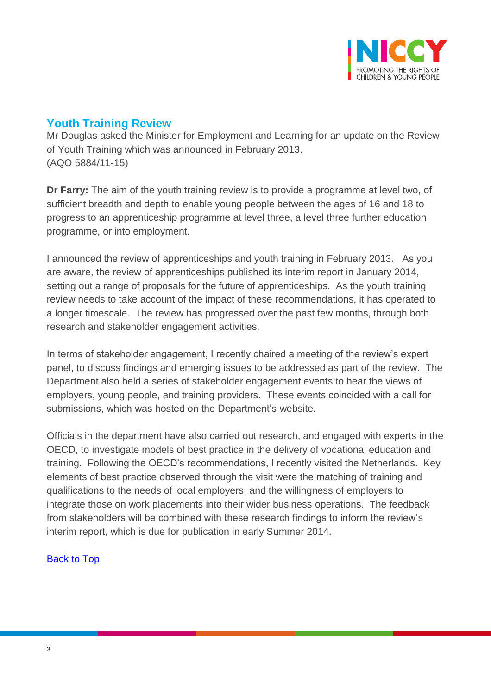

## <span id="page-2-0"></span>**Youth Training Review**

Mr Douglas asked the Minister for Employment and Learning for an update on the Review of Youth Training which was announced in February 2013. (AQO 5884/11-15)

**Dr Farry:** The aim of the youth training review is to provide a programme at level two, of sufficient breadth and depth to enable young people between the ages of 16 and 18 to progress to an apprenticeship programme at level three, a level three further education programme, or into employment.

I announced the review of apprenticeships and youth training in February 2013. As you are aware, the review of apprenticeships published its interim report in January 2014, setting out a range of proposals for the future of apprenticeships. As the youth training review needs to take account of the impact of these recommendations, it has operated to a longer timescale. The review has progressed over the past few months, through both research and stakeholder engagement activities.

In terms of stakeholder engagement, I recently chaired a meeting of the review's expert panel, to discuss findings and emerging issues to be addressed as part of the review. The Department also held a series of stakeholder engagement events to hear the views of employers, young people, and training providers. These events coincided with a call for submissions, which was hosted on the Department's website.

Officials in the department have also carried out research, and engaged with experts in the OECD, to investigate models of best practice in the delivery of vocational education and training. Following the OECD's recommendations, I recently visited the Netherlands. Key elements of best practice observed through the visit were the matching of training and qualifications to the needs of local employers, and the willingness of employers to integrate those on work placements into their wider business operations. The feedback from stakeholders will be combined with these research findings to inform the review's interim report, which is due for publication in early Summer 2014.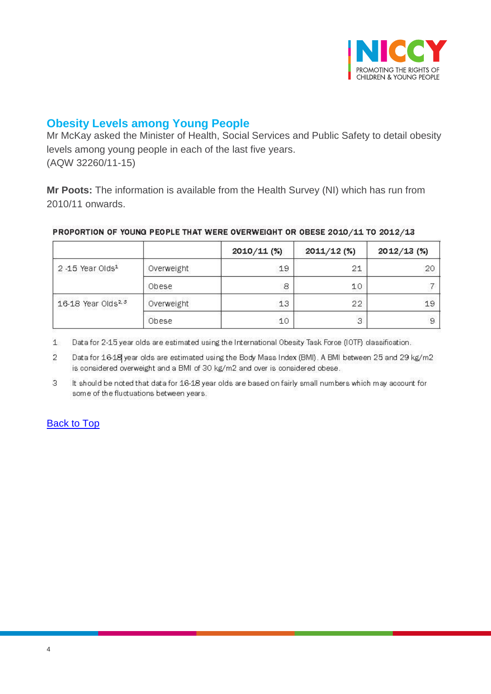

## <span id="page-3-0"></span>**Obesity Levels among Young People**

Mr McKay asked the Minister of Health, Social Services and Public Safety to detail obesity levels among young people in each of the last five years. (AQW 32260/11-15)

**Mr Poots:** The information is available from the Health Survey (NI) which has run from 2010/11 onwards.

#### PROPORTION OF YOUNG PEOPLE THAT WERE OVERWEIGHT OR OBESE 2010/11 TO 2012/13

|                                 |            | $2010/11$ (%) | $2011/12$ (%) | 2012/13 (%) |
|---------------------------------|------------|---------------|---------------|-------------|
| $2 - 15$ Year Olds <sup>1</sup> | Overweight | 19            | 21            | 20          |
|                                 | Obese      | 8             | 10            |             |
| 16-18 Year Olds <sup>2, 3</sup> | Overweight | 13            | 22            | 19          |
|                                 | Obese      | 10            | 3             | 9           |

 $1$ Data for 2-15 year olds are estimated using the International Obesity Task Force (IOTF) classification.

Data for 16-18 year olds are estimated using the Body Mass Index (BMI). A BMI between 25 and 29 kg/m2  $\overline{2}$ is considered overweight and a BMI of 30 kg/m2 and over is considered obese.

3 It should be noted that data for 16-18 year olds are based on fairly small numbers which may account for some of the fluctuations between years.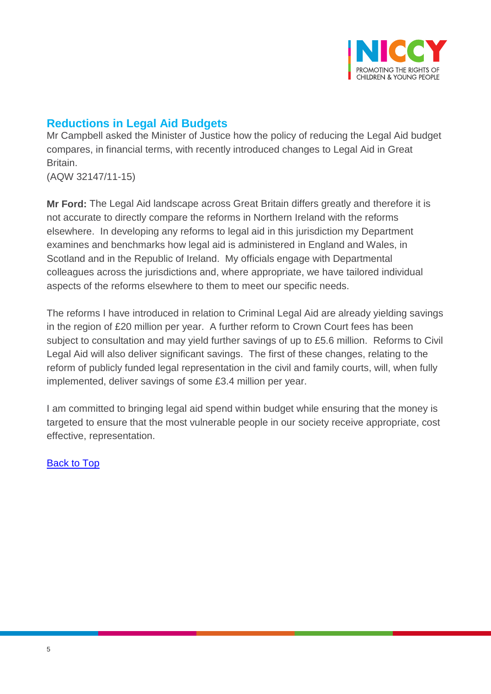

# <span id="page-4-0"></span>**Reductions in Legal Aid Budgets**

Mr Campbell asked the Minister of Justice how the policy of reducing the Legal Aid budget compares, in financial terms, with recently introduced changes to Legal Aid in Great Britain.

(AQW 32147/11-15)

**Mr Ford:** The Legal Aid landscape across Great Britain differs greatly and therefore it is not accurate to directly compare the reforms in Northern Ireland with the reforms elsewhere. In developing any reforms to legal aid in this jurisdiction my Department examines and benchmarks how legal aid is administered in England and Wales, in Scotland and in the Republic of Ireland. My officials engage with Departmental colleagues across the jurisdictions and, where appropriate, we have tailored individual aspects of the reforms elsewhere to them to meet our specific needs.

The reforms I have introduced in relation to Criminal Legal Aid are already yielding savings in the region of £20 million per year. A further reform to Crown Court fees has been subject to consultation and may yield further savings of up to £5.6 million. Reforms to Civil Legal Aid will also deliver significant savings. The first of these changes, relating to the reform of publicly funded legal representation in the civil and family courts, will, when fully implemented, deliver savings of some £3.4 million per year.

I am committed to bringing legal aid spend within budget while ensuring that the money is targeted to ensure that the most vulnerable people in our society receive appropriate, cost effective, representation.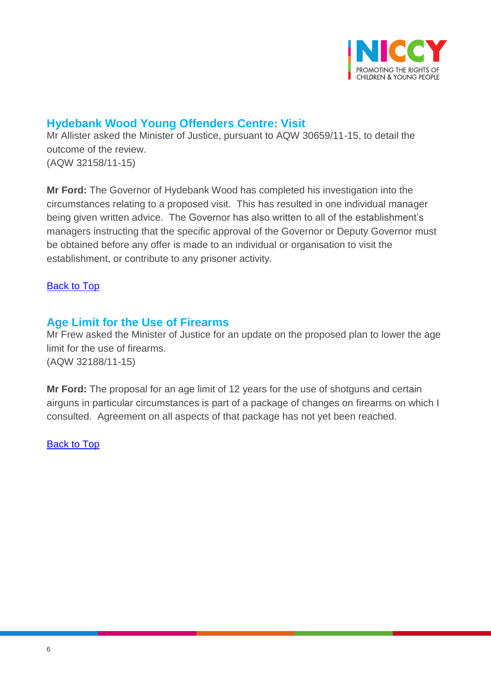

## <span id="page-5-0"></span>**Hydebank Wood Young Offenders Centre: Visit**

Mr Allister asked the Minister of Justice, pursuant to AQW 30659/11-15, to detail the outcome of the review. (AQW 32158/11-15)

**Mr Ford:** The Governor of Hydebank Wood has completed his investigation into the circumstances relating to a proposed visit. This has resulted in one individual manager being given written advice. The Governor has also written to all of the establishment's managers instructing that the specific approval of the Governor or Deputy Governor must be obtained before any offer is made to an individual or organisation to visit the establishment, or contribute to any prisoner activity.

### [Back to Top](#page-0-0)

## <span id="page-5-1"></span>**Age Limit for the Use of Firearms**

Mr Frew asked the Minister of Justice for an update on the proposed plan to lower the age limit for the use of firearms. (AQW 32188/11-15)

**Mr Ford:** The proposal for an age limit of 12 years for the use of shotguns and certain airguns in particular circumstances is part of a package of changes on firearms on which I consulted. Agreement on all aspects of that package has not yet been reached.